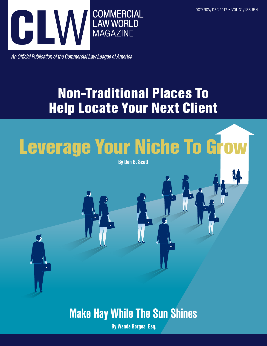

An Official Publication of the Commercial Law League of America

# Non-Traditional Places To Help Locate Your Next Client

# Leverage Your Niche To Grow

By Don B. Scott

Make Hay While The Sun Shines

By Wanda Borges, Esq.